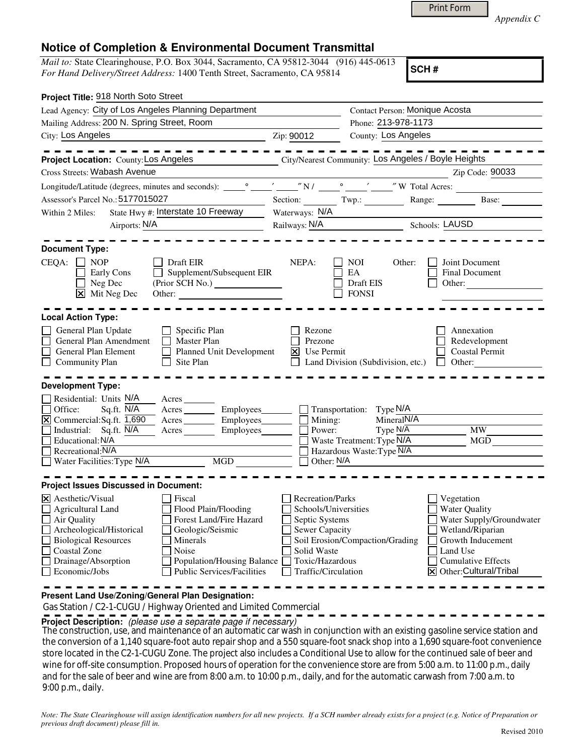|  | <b>Print Form</b> |  |
|--|-------------------|--|
|  |                   |  |

*Appendix C* 

## **Notice of Completion & Environmental Document Transmittal**

*Mail to:* State Clearinghouse, P.O. Box 3044, Sacramento, CA 95812-3044 (916) 445-0613 *For Hand Delivery/Street Address:* 1400 Tenth Street, Sacramento, CA 95814

**SCH #**

| Project Title: 918 North Soto Street                                                                                                                                                                                                                                                                                                                                                                                |                                                                                                                                              |                                                                                                                                  |                                                                                                                                                                                        |
|---------------------------------------------------------------------------------------------------------------------------------------------------------------------------------------------------------------------------------------------------------------------------------------------------------------------------------------------------------------------------------------------------------------------|----------------------------------------------------------------------------------------------------------------------------------------------|----------------------------------------------------------------------------------------------------------------------------------|----------------------------------------------------------------------------------------------------------------------------------------------------------------------------------------|
| Lead Agency: City of Los Angeles Planning Department                                                                                                                                                                                                                                                                                                                                                                | Contact Person: Monique Acosta                                                                                                               |                                                                                                                                  |                                                                                                                                                                                        |
| Mailing Address: 200 N. Spring Street, Room                                                                                                                                                                                                                                                                                                                                                                         |                                                                                                                                              | Phone: 213-978-1173                                                                                                              |                                                                                                                                                                                        |
| City: Los Angeles                                                                                                                                                                                                                                                                                                                                                                                                   | Zip: 90012                                                                                                                                   | County: Los Angeles                                                                                                              |                                                                                                                                                                                        |
| Project Location: County: Los Angeles City/Nearest Community: Los Angeles / Boyle Heights                                                                                                                                                                                                                                                                                                                           |                                                                                                                                              |                                                                                                                                  |                                                                                                                                                                                        |
| Cross Streets: Wabash Avenue                                                                                                                                                                                                                                                                                                                                                                                        |                                                                                                                                              | <u> 1980 - Johann Barbara, martin ba</u>                                                                                         | Zip Code: 90033                                                                                                                                                                        |
|                                                                                                                                                                                                                                                                                                                                                                                                                     |                                                                                                                                              |                                                                                                                                  |                                                                                                                                                                                        |
| Assessor's Parcel No.: 5177015027                                                                                                                                                                                                                                                                                                                                                                                   |                                                                                                                                              |                                                                                                                                  | Section: Twp.: Range: Base: Base:                                                                                                                                                      |
| State Hwy #: Interstate 10 Freeway<br>Within 2 Miles:                                                                                                                                                                                                                                                                                                                                                               | Waterways: N/A                                                                                                                               |                                                                                                                                  |                                                                                                                                                                                        |
| Airports: N/A                                                                                                                                                                                                                                                                                                                                                                                                       |                                                                                                                                              | Railways: N/A Schools: LAUSD                                                                                                     |                                                                                                                                                                                        |
| <b>Document Type:</b><br>CEQA:<br>$\Box$ NOP<br>Draft EIR<br>Supplement/Subsequent EIR<br><b>Early Cons</b><br>$\Box$ Neg Dec<br>$\boxed{\mathsf{x}}$ Mit Neg Dec<br>Other:                                                                                                                                                                                                                                         | NEPA:                                                                                                                                        | <b>NOI</b><br>Other:<br>EA<br>Draft EIS<br><b>FONSI</b>                                                                          | Joint Document<br>Final Document<br>Other:                                                                                                                                             |
| <b>Local Action Type:</b><br>General Plan Update<br>$\Box$ Specific Plan<br>General Plan Amendment<br>Master Plan<br>General Plan Element<br>Planned Unit Development<br><b>Community Plan</b><br>Site Plan<br>$\perp$<br><b>Development Type:</b>                                                                                                                                                                  | Rezone<br>Prezone<br>$\overline{\mathsf{x}}$<br>Use Permit                                                                                   | Land Division (Subdivision, etc.)                                                                                                | Annexation<br>Redevelopment<br><b>Coastal Permit</b><br>$\Box$ Other:                                                                                                                  |
| Residential: Units N/A<br>Acres<br>Sq.ft. N/A<br>Office:<br>Acres Employees<br>$\boxtimes$ Commercial: Sq.ft. $\overline{1,690}$<br>Acres Employees<br>Industrial: Sq.ft. N/A<br>Employees_______<br>Acres<br>Educational: N/A<br>Recreational: N/A<br>Water Facilities: Type N/A MGD                                                                                                                               | Mining:<br>Power:<br>Other: N/A                                                                                                              | $\Box$ Transportation: Type N/A<br>MineralN/A<br>Type $N/\overline{A}$<br>Waste Treatment: Type N/A<br>Hazardous Waste: Type N/A | <b>MW</b><br>MGD                                                                                                                                                                       |
| <b>Project Issues Discussed in Document:</b><br>$\boxtimes$ Aesthetic/Visual<br>Fiscal<br><b>Agricultural Land</b><br>Flood Plain/Flooding<br>Air Quality<br>Forest Land/Fire Hazard<br>Archeological/Historical<br>Geologic/Seismic<br><b>Biological Resources</b><br>Minerals<br>Coastal Zone<br>Noise<br>Drainage/Absorption<br>Population/Housing Balance<br>Economic/Jobs<br><b>Public Services/Facilities</b> | <b>Recreation/Parks</b><br>Schools/Universities<br>Septic Systems<br>Sewer Capacity<br>Solid Waste<br>Toxic/Hazardous<br>Traffic/Circulation | Soil Erosion/Compaction/Grading                                                                                                  | Vegetation<br><b>Water Quality</b><br>Water Supply/Groundwater<br>Wetland/Riparian<br>Growth Inducement<br>Land Use<br><b>Cumulative Effects</b><br>$\boxtimes$ Other: Cultural/Tribal |

**Present Land Use/Zoning/General Plan Designation:**

Gas Station / C2-1-CUGU / Highway Oriented and Limited Commercial

**Project Description:** (please use a separate page if necessary)

The construction, use, and maintenance of an automatic car wash in conjunction with an existing gasoline service station and<br>He construction of a 4.40 times for the three stations and eFS survey feet model in the a 4.00 ti the conversion of a 1,140 square-foot auto repair shop and a 550 square-foot snack shop into a 1,690 square-foot convenience store located in the C2-1-CUGU Zone. The project also includes a Conditional Use to allow for the continued sale of beer and wine for off-site consumption. Proposed hours of operation for the convenience store are from 5:00 a.m. to 11:00 p.m., daily and for the sale of beer and wine are from 8:00 a.m. to 10:00 p.m., daily, and for the automatic carwash from 7:00 a.m. to 9:00 p.m., daily.

*Note: The State Clearinghouse will assign identification numbers for all new projects. If a SCH number already exists for a project (e.g. Notice of Preparation or previous draft document) please fill in.*